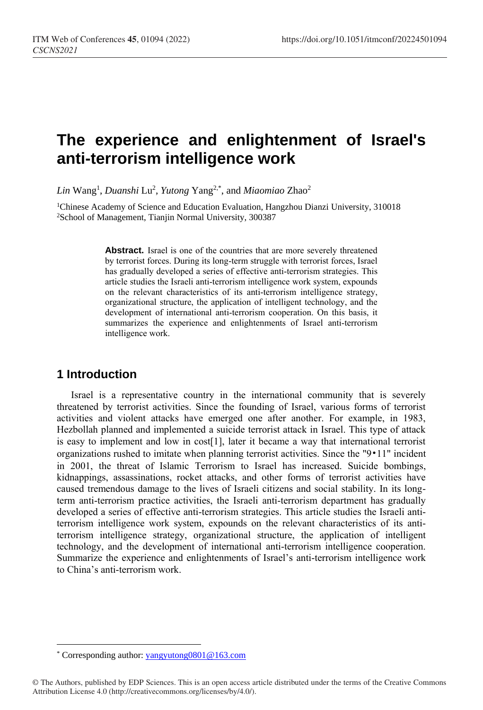# **The experience and enlightenment of Israel's anti-terrorism intelligence work**

*Lin* Wang<sup>1</sup> , *Duanshi* Lu<sup>2</sup> , *Yutong* Yang2,\* , and *Miaomiao* Zhao<sup>2</sup>

<sup>1</sup>Chinese Academy of Science and Education Evaluation, Hangzhou Dianzi University, 310018 <sup>2</sup>School of Management, Tianjin Normal University, 300387

> Abstract. Israel is one of the countries that are more severely threatened by terrorist forces. During its long-term struggle with terrorist forces, Israel has gradually developed a series of effective anti-terrorism strategies. This article studies the Israeli anti-terrorism intelligence work system, expounds on the relevant characteristics of its anti-terrorism intelligence strategy, organizational structure, the application of intelligent technology, and the development of international anti-terrorism cooperation. On this basis, it summarizes the experience and enlightenments of Israel anti-terrorism intelligence work.

# **1 Introduction**

 $\overline{a}$ 

Israel is a representative country in the international community that is severely threatened by terrorist activities. Since the founding of Israel, various forms of terrorist activities and violent attacks have emerged one after another. For example, in 1983, Hezbollah planned and implemented a suicide terrorist attack in Israel. This type of attack is easy to implement and low in cost[1], later it became a way that international terrorist organizations rushed to imitate when planning terrorist activities. Since the "9•11" incident in 2001, the threat of Islamic Terrorism to Israel has increased. Suicide bombings, kidnappings, assassinations, rocket attacks, and other forms of terrorist activities have caused tremendous damage to the lives of Israeli citizens and social stability. In its longterm anti-terrorism practice activities, the Israeli anti-terrorism department has gradually developed a series of effective anti-terrorism strategies. This article studies the Israeli antiterrorism intelligence work system, expounds on the relevant characteristics of its antiterrorism intelligence strategy, organizational structure, the application of intelligent technology, and the development of international anti-terrorism intelligence cooperation. Summarize the experience and enlightenments of Israel's anti-terrorism intelligence work to China's anti-terrorism work.

<sup>\*</sup> Corresponding author[: yangyutong0801@163.com](mailto:yangyutong0801@163.com)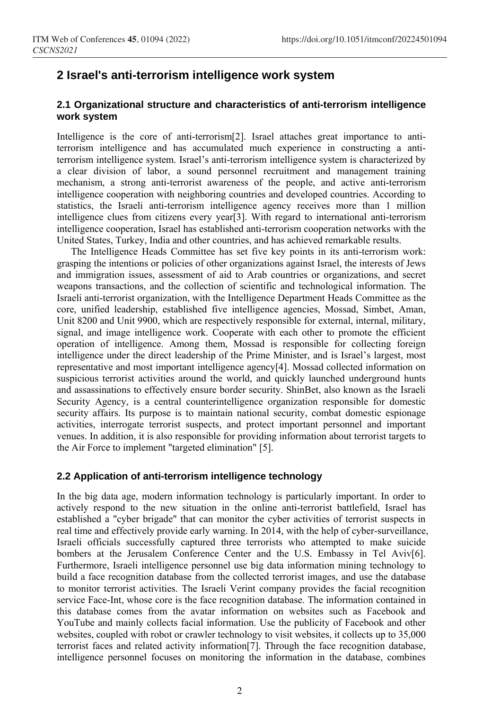## **2 Israel's anti-terrorism intelligence work system**

### **2.1 Organizational structure and characteristics of anti-terrorism intelligence work system**

Intelligence is the core of anti-terrorism[2]. Israel attaches great importance to antiterrorism intelligence and has accumulated much experience in constructing a antiterrorism intelligence system. Israel's anti-terrorism intelligence system is characterized by a clear division of labor, a sound personnel recruitment and management training mechanism, a strong anti-terrorist awareness of the people, and active anti-terrorism intelligence cooperation with neighboring countries and developed countries. According to statistics, the Israeli anti-terrorism intelligence agency receives more than 1 million intelligence clues from citizens every year[3]. With regard to international anti-terrorism intelligence cooperation, Israel has established anti-terrorism cooperation networks with the United States, Turkey, India and other countries, and has achieved remarkable results.

The Intelligence Heads Committee has set five key points in its anti-terrorism work: grasping the intentions or policies of other organizations against Israel, the interests of Jews and immigration issues, assessment of aid to Arab countries or organizations, and secret weapons transactions, and the collection of scientific and technological information. The Israeli anti-terrorist organization, with the Intelligence Department Heads Committee as the core, unified leadership, established five intelligence agencies, Mossad, Simbet, Aman, Unit 8200 and Unit 9900, which are respectively responsible for external, internal, military, signal, and image intelligence work. Cooperate with each other to promote the efficient operation of intelligence. Among them, Mossad is responsible for collecting foreign intelligence under the direct leadership of the Prime Minister, and is Israel's largest, most representative and most important intelligence agency[4]. Mossad collected information on suspicious terrorist activities around the world, and quickly launched underground hunts and assassinations to effectively ensure border security. ShinBet, also known as the Israeli Security Agency, is a central counterintelligence organization responsible for domestic security affairs. Its purpose is to maintain national security, combat domestic espionage activities, interrogate terrorist suspects, and protect important personnel and important venues. In addition, it is also responsible for providing information about terrorist targets to the Air Force to implement "targeted elimination" [5].

#### **2.2 Application of anti-terrorism intelligence technology**

In the big data age, modern information technology is particularly important. In order to actively respond to the new situation in the online anti-terrorist battlefield, Israel has established a "cyber brigade" that can monitor the cyber activities of terrorist suspects in real time and effectively provide early warning. In 2014, with the help of cyber-surveillance, Israeli officials successfully captured three terrorists who attempted to make suicide bombers at the Jerusalem Conference Center and the U.S. Embassy in Tel Aviv[6]. Furthermore, Israeli intelligence personnel use big data information mining technology to build a face recognition database from the collected terrorist images, and use the database to monitor terrorist activities. The Israeli Verint company provides the facial recognition service Face-Int, whose core is the face recognition database. The information contained in this database comes from the avatar information on websites such as Facebook and YouTube and mainly collects facial information. Use the publicity of Facebook and other websites, coupled with robot or crawler technology to visit websites, it collects up to 35,000 terrorist faces and related activity information[7]. Through the face recognition database, intelligence personnel focuses on monitoring the information in the database, combines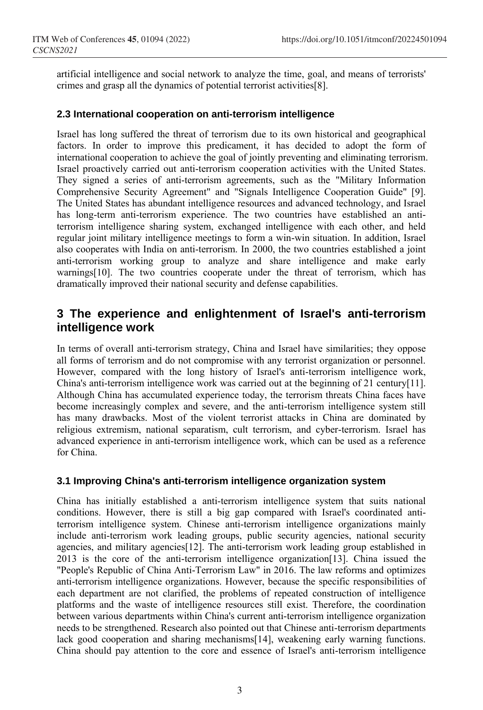artificial intelligence and social network to analyze the time, goal, and means of terrorists' crimes and grasp all the dynamics of potential terrorist activities[8].

### **2.3 International cooperation on anti-terrorism intelligence**

Israel has long suffered the threat of terrorism due to its own historical and geographical factors. In order to improve this predicament, it has decided to adopt the form of international cooperation to achieve the goal of jointly preventing and eliminating terrorism. Israel proactively carried out anti-terrorism cooperation activities with the United States. They signed a series of anti-terrorism agreements, such as the "Military Information Comprehensive Security Agreement" and "Signals Intelligence Cooperation Guide" [9]. The United States has abundant intelligence resources and advanced technology, and Israel has long-term anti-terrorism experience. The two countries have established an antiterrorism intelligence sharing system, exchanged intelligence with each other, and held regular joint military intelligence meetings to form a win-win situation. In addition, Israel also cooperates with India on anti-terrorism. In 2000, the two countries established a joint anti-terrorism working group to analyze and share intelligence and make early warnings[10]. The two countries cooperate under the threat of terrorism, which has dramatically improved their national security and defense capabilities.

# **3 The experience and enlightenment of Israel's anti-terrorism intelligence work**

In terms of overall anti-terrorism strategy, China and Israel have similarities; they oppose all forms of terrorism and do not compromise with any terrorist organization or personnel. However, compared with the long history of Israel's anti-terrorism intelligence work, China's anti-terrorism intelligence work was carried out at the beginning of 21 century[11]. Although China has accumulated experience today, the terrorism threats China faces have become increasingly complex and severe, and the anti-terrorism intelligence system still has many drawbacks. Most of the violent terrorist attacks in China are dominated by religious extremism, national separatism, cult terrorism, and cyber-terrorism. Israel has advanced experience in anti-terrorism intelligence work, which can be used as a reference for China.

## **3.1 Improving China's anti-terrorism intelligence organization system**

China has initially established a anti-terrorism intelligence system that suits national conditions. However, there is still a big gap compared with Israel's coordinated antiterrorism intelligence system. Chinese anti-terrorism intelligence organizations mainly include anti-terrorism work leading groups, public security agencies, national security agencies, and military agencies[12]. The anti-terrorism work leading group established in 2013 is the core of the anti-terrorism intelligence organization[13]. China issued the "People's Republic of China Anti-Terrorism Law" in 2016. The law reforms and optimizes anti-terrorism intelligence organizations. However, because the specific responsibilities of each department are not clarified, the problems of repeated construction of intelligence platforms and the waste of intelligence resources still exist. Therefore, the coordination between various departments within China's current anti-terrorism intelligence organization needs to be strengthened. Research also pointed out that Chinese anti-terrorism departments lack good cooperation and sharing mechanisms[14], weakening early warning functions. China should pay attention to the core and essence of Israel's anti-terrorism intelligence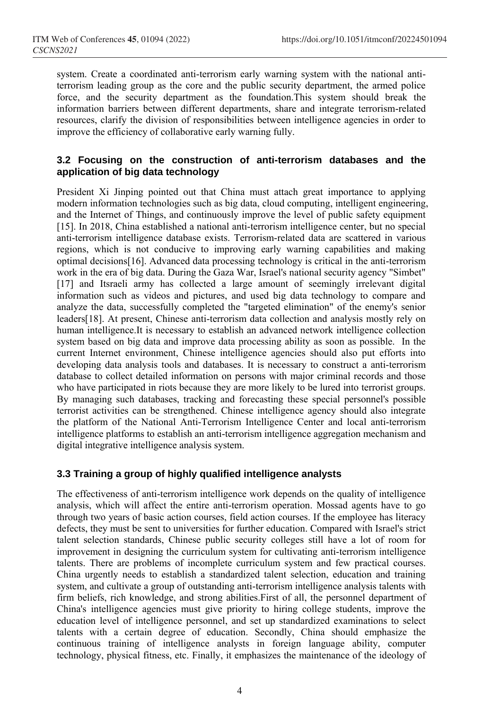system. Create a coordinated anti-terrorism early warning system with the national antiterrorism leading group as the core and the public security department, the armed police force, and the security department as the foundation.This system should break the information barriers between different departments, share and integrate terrorism-related resources, clarify the division of responsibilities between intelligence agencies in order to improve the efficiency of collaborative early warning fully.

## **3.2 Focusing on the construction of anti-terrorism databases and the application of big data technology**

President Xi Jinping pointed out that China must attach great importance to applying modern information technologies such as big data, cloud computing, intelligent engineering, and the Internet of Things, and continuously improve the level of public safety equipment [15]. In 2018, China established a national anti-terrorism intelligence center, but no special anti-terrorism intelligence database exists. Terrorism-related data are scattered in various regions, which is not conducive to improving early warning capabilities and making optimal decisions[16]. Advanced data processing technology is critical in the anti-terrorism work in the era of big data. During the Gaza War, Israel's national security agency "Simbet" [17] and Itsraeli army has collected a large amount of seemingly irrelevant digital information such as videos and pictures, and used big data technology to compare and analyze the data, successfully completed the "targeted elimination" of the enemy's senior leaders[18]. At present, Chinese anti-terrorism data collection and analysis mostly rely on human intelligence.It is necessary to establish an advanced network intelligence collection system based on big data and improve data processing ability as soon as possible. In the current Internet environment, Chinese intelligence agencies should also put efforts into developing data analysis tools and databases. It is necessary to construct a anti-terrorism database to collect detailed information on persons with major criminal records and those who have participated in riots because they are more likely to be lured into terrorist groups. By managing such databases, tracking and forecasting these special personnel's possible terrorist activities can be strengthened. Chinese intelligence agency should also integrate the platform of the National Anti-Terrorism Intelligence Center and local anti-terrorism intelligence platforms to establish an anti-terrorism intelligence aggregation mechanism and digital integrative intelligence analysis system.

## **3.3 Training a group of highly qualified intelligence analysts**

The effectiveness of anti-terrorism intelligence work depends on the quality of intelligence analysis, which will affect the entire anti-terrorism operation. Mossad agents have to go through two years of basic action courses, field action courses. If the employee has literacy defects, they must be sent to universities for further education. Compared with Israel's strict talent selection standards, Chinese public security colleges still have a lot of room for improvement in designing the curriculum system for cultivating anti-terrorism intelligence talents. There are problems of incomplete curriculum system and few practical courses. China urgently needs to establish a standardized talent selection, education and training system, and cultivate a group of outstanding anti-terrorism intelligence analysis talents with firm beliefs, rich knowledge, and strong abilities.First of all, the personnel department of China's intelligence agencies must give priority to hiring college students, improve the education level of intelligence personnel, and set up standardized examinations to select talents with a certain degree of education. Secondly, China should emphasize the continuous training of intelligence analysts in foreign language ability, computer technology, physical fitness, etc. Finally, it emphasizes the maintenance of the ideology of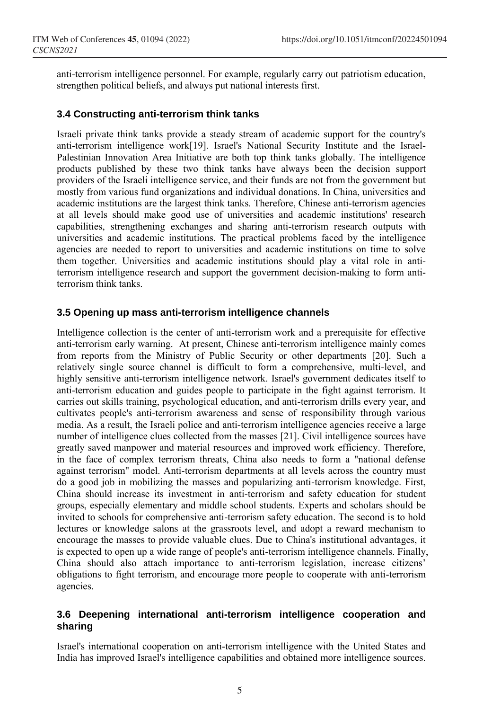anti-terrorism intelligence personnel. For example, regularly carry out patriotism education, strengthen political beliefs, and always put national interests first.

### **3.4 Constructing anti-terrorism think tanks**

Israeli private think tanks provide a steady stream of academic support for the country's anti-terrorism intelligence work[19]. Israel's National Security Institute and the Israel-Palestinian Innovation Area Initiative are both top think tanks globally. The intelligence products published by these two think tanks have always been the decision support providers of the Israeli intelligence service, and their funds are not from the government but mostly from various fund organizations and individual donations. In China, universities and academic institutions are the largest think tanks. Therefore, Chinese anti-terrorism agencies at all levels should make good use of universities and academic institutions' research capabilities, strengthening exchanges and sharing anti-terrorism research outputs with universities and academic institutions. The practical problems faced by the intelligence agencies are needed to report to universities and academic institutions on time to solve them together. Universities and academic institutions should play a vital role in antiterrorism intelligence research and support the government decision-making to form antiterrorism think tanks.

### **3.5 Opening up mass anti-terrorism intelligence channels**

Intelligence collection is the center of anti-terrorism work and a prerequisite for effective anti-terrorism early warning. At present, Chinese anti-terrorism intelligence mainly comes from reports from the Ministry of Public Security or other departments [20]. Such a relatively single source channel is difficult to form a comprehensive, multi-level, and highly sensitive anti-terrorism intelligence network. Israel's government dedicates itself to anti-terrorism education and guides people to participate in the fight against terrorism. It carries out skills training, psychological education, and anti-terrorism drills every year, and cultivates people's anti-terrorism awareness and sense of responsibility through various media. As a result, the Israeli police and anti-terrorism intelligence agencies receive a large number of intelligence clues collected from the masses [21]. Civil intelligence sources have greatly saved manpower and material resources and improved work efficiency. Therefore, in the face of complex terrorism threats, China also needs to form a "national defense against terrorism" model. Anti-terrorism departments at all levels across the country must do a good job in mobilizing the masses and popularizing anti-terrorism knowledge. First, China should increase its investment in anti-terrorism and safety education for student groups, especially elementary and middle school students. Experts and scholars should be invited to schools for comprehensive anti-terrorism safety education. The second is to hold lectures or knowledge salons at the grassroots level, and adopt a reward mechanism to encourage the masses to provide valuable clues. Due to China's institutional advantages, it is expected to open up a wide range of people's anti-terrorism intelligence channels. Finally, China should also attach importance to anti-terrorism legislation, increase citizens' obligations to fight terrorism, and encourage more people to cooperate with anti-terrorism agencies.

## **3.6 Deepening international anti-terrorism intelligence cooperation and sharing**

Israel's international cooperation on anti-terrorism intelligence with the United States and India has improved Israel's intelligence capabilities and obtained more intelligence sources.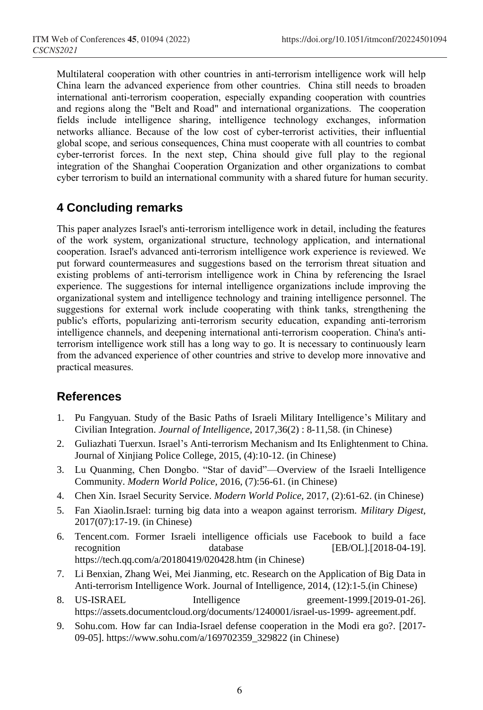Multilateral cooperation with other countries in anti-terrorism intelligence work will help China learn the advanced experience from other countries. China still needs to broaden international anti-terrorism cooperation, especially expanding cooperation with countries and regions along the "Belt and Road" and international organizations. The cooperation fields include intelligence sharing, intelligence technology exchanges, information networks alliance. Because of the low cost of cyber-terrorist activities, their influential global scope, and serious consequences, China must cooperate with all countries to combat cyber-terrorist forces. In the next step, China should give full play to the regional integration of the Shanghai Cooperation Organization and other organizations to combat cyber terrorism to build an international community with a shared future for human security.

# **4 Concluding remarks**

This paper analyzes Israel's anti-terrorism intelligence work in detail, including the features of the work system, organizational structure, technology application, and international cooperation. Israel's advanced anti-terrorism intelligence work experience is reviewed. We put forward countermeasures and suggestions based on the terrorism threat situation and existing problems of anti-terrorism intelligence work in China by referencing the Israel experience. The suggestions for internal intelligence organizations include improving the organizational system and intelligence technology and training intelligence personnel. The suggestions for external work include cooperating with think tanks, strengthening the public's efforts, popularizing anti-terrorism security education, expanding anti-terrorism intelligence channels, and deepening international anti-terrorism cooperation. China's antiterrorism intelligence work still has a long way to go. It is necessary to continuously learn from the advanced experience of other countries and strive to develop more innovative and practical measures.

# **References**

- 1. Pu Fangyuan. Study of the Basic Paths of Israeli Military Intelligence's Military and Civilian Integration. *Journal of Intelligence*, 2017,36(2) : 8-11,58. (in Chinese)
- 2. Guliazhati Tuerxun. Israel's Anti-terrorism Mechanism and Its Enlightenment to China. Journal of Xinjiang Police College, 2015, (4):10-12. (in Chinese)
- 3. Lu Quanming, Chen Dongbo. "Star of david"—Overview of the Israeli Intelligence Community. *Modern World Police,* 2016, (7):56-61. (in Chinese)
- 4. Chen Xin. Israel Security Service. *Modern World Police,* 2017, (2):61-62. (in Chinese)
- 5. Fan Xiaolin.Israel: turning big data into a weapon against terrorism. *Military Digest,* 2017(07):17-19. (in Chinese)
- 6. Tencent.com. Former Israeli intelligence officials use Facebook to build a face recognition database [EB/OL].[2018-04-19]. https://tech.qq.com/a/20180419/020428.htm (in Chinese)
- 7. Li Benxian, Zhang Wei, Mei Jianming, etc. Research on the Application of Big Data in Anti-terrorism Intelligence Work. Journal of Intelligence, 2014, (12):1-5.(in Chinese)
- 8. US-ISRAEL Intelligence greement-1999.[2019-01-26]. https://assets.documentcloud.org/documents/1240001/israel-us-1999- agreement.pdf.
- 9. Sohu.com. How far can India-Israel defense cooperation in the Modi era go?. [2017- 09-05]. https://www.sohu.com/a/169702359\_329822 (in Chinese)